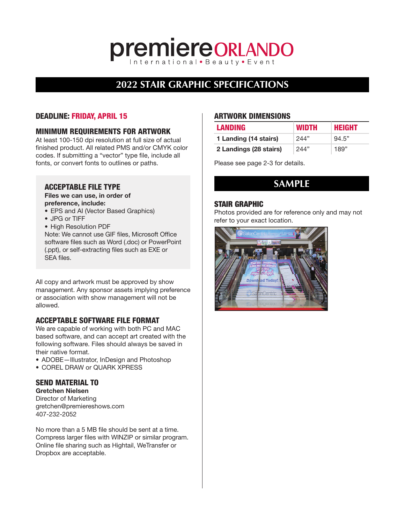### **premiereORLANDO**

#### **2022 STAIR GRAPHIC SPECIFICATIONS**

#### DEADLINE: FRIDAY, APRIL 15

#### MINIMUM REQUIREMENTS FOR ARTWORK

At least 100-150 dpi resolution at full size of actual finished product. All related PMS and/or CMYK color codes. If submitting a "vector" type file, include all fonts, or convert fonts to outlines or paths.

#### ACCEPTABLE FILE TYPE

Files we can use, in order of preference, include:

- EPS and AI (Vector Based Graphics)
- JPG or TIFF
- High Resolution PDF

Note: We cannot use GIF files, Microsoft Office software files such as Word (.doc) or PowerPoint (.ppt), or self-extracting files such as EXE or SEA files.

All copy and artwork must be approved by show management. Any sponsor assets implying preference or association with show management will not be allowed.

#### ACCEPTABLE SOFTWARE FILE FORMAT

We are capable of working with both PC and MAC based software, and can accept art created with the following software. Files should always be saved in their native format.

- ADOBE—Illustrator, InDesign and Photoshop
- COREL DRAW or QUARK XPRESS

#### SEND MATERIAL TO

Gretchen Nielsen Director of Marketing gretchen@premiereshows.com 407-232-2052

No more than a 5 MB file should be sent at a time. Compress larger files with WINZIP or similar program. Online file sharing such as Hightail, WeTransfer or Dropbox are acceptable.

#### ARTWORK DIMENSIONS

| <b>LANDING</b>         | <b>WIDTH</b> | HEIGHT |
|------------------------|--------------|--------|
| 1 Landing (14 stairs)  | 244"         | 94.5"  |
| 2 Landings (28 stairs) | 244"         | 189"   |

Please see page 2-3 for details.

#### **SAMPLE**

#### STAIR GRAPHIC

Photos provided are for reference only and may not refer to your exact location.

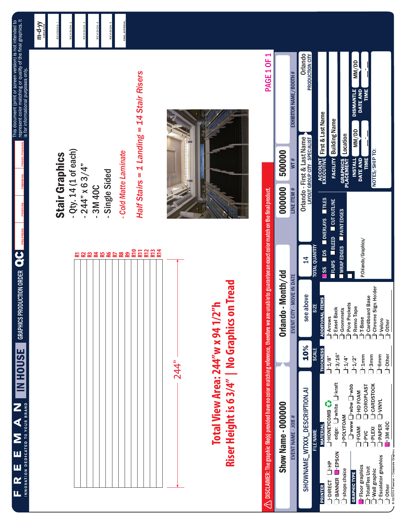m-d-yy

REVISION

**NOISIN** 

ivision

|                                           | 244"<br>۷             |
|-------------------------------------------|-----------------------|
|                                           |                       |
|                                           | <b>EREZEER EE EEE</b> |
|                                           |                       |
| Half                                      |                       |
|                                           |                       |
|                                           |                       |
| $-cod$                                    |                       |
|                                           |                       |
|                                           |                       |
|                                           |                       |
|                                           |                       |
|                                           |                       |
|                                           |                       |
|                                           |                       |
| $-94$<br>$-31$<br>$-31$<br>$-31$<br>$-31$ |                       |
| j<br>!                                    |                       |

Riser Height is 6 3/4" | No Graphics on Tread **Riser Height is 6 3/4" | No Graphics on Tread**Total View Area: 244"w x 94 1/2"h **Total View Area: 244"w x 94 1/2"h**

## **Stair Graphics** Stair Graphics

- .14 (1 of each) - Qty. 14 (1 of each)
	- $4" \times 63/4"$ - 244" x 6 3/4"
		- 3M 40C
- gle Sided - Single Sided
- **Matte Laminate** *- Cold Matte Laminate*

# Stairs = 1 Landing = 14 Stair Risers *Half Stairs = 1 Landing = 14 Stair Risers*



| <b>PAGE 1 OF 1</b>                                                                                                                                                   |                    | EXHIBITOR NAME / BOOTH #  | Orlando<br>PRODUCTION CITY                                                                                                                                            | MM/DD<br><b>DISMANTLE</b><br><b>TIME</b><br>DATE AND                                                                                                                                                         |
|----------------------------------------------------------------------------------------------------------------------------------------------------------------------|--------------------|---------------------------|-----------------------------------------------------------------------------------------------------------------------------------------------------------------------|--------------------------------------------------------------------------------------------------------------------------------------------------------------------------------------------------------------|
|                                                                                                                                                                      | 000000 500000      | WT#                       | <b>ACCOUNT First &amp; Last Name</b><br>EXECUTIVE First & Last Name<br><b>FACILITY</b> Building Name<br>Orlando - First & Last Name<br>LAYOUT GROUP CITY - SPECIALIST | MM/DD<br><b>GRAPHICS Location</b><br>PLACEMENT Location<br>NOTES/SHIP TO:<br><b>INSTALL</b><br><b>TIME</b><br><b>DATE AND</b>                                                                                |
|                                                                                                                                                                      |                    | <b>LINE ITEM #</b>        | <b>SS DS DOVERLAYS TILES</b>                                                                                                                                          |                                                                                                                                                                                                              |
|                                                                                                                                                                      | Orlando - Month/dd |                           | FLAPS BLEED CUT OUTLINE<br><b>TOTAL QUANTITY</b><br>$\frac{1}{4}$                                                                                                     | WRAP EDGES PAINT EDGES<br>P:Orlando/Graphics/                                                                                                                                                                |
|                                                                                                                                                                      |                    | EVENT CITY - MOVE IN DATE | see above<br><b>ADDITIONAL ITEMS</b><br><b>SIZE</b><br>PArrows                                                                                                        | J'Chrome Sign Holder<br>J'Cardboard Base<br>Pole Pockets<br><sup>-</sup> Remo Tape<br>J'Easel Back<br>d'Grommets<br>$1.1$ -Base<br>l'Velcro<br><b>I</b> -Other                                               |
|                                                                                                                                                                      |                    |                           | 10%<br><b>THICKNESS</b><br><b>SCALI</b><br>$-1.4/8$ "                                                                                                                 | 1.3/16"<br>$1.3$ mm<br>1'6mm<br>$1.1$ mm<br>1 <sup>-</sup> Other<br>$\frac{1}{4}$<br>_<br>  1/2"                                                                                                             |
| $\Lambda$ DISCLAIMER: The graphic file(s) provided have no color matching reference, therefore we are unable to guarantee an exact color match on the final product, | Show Name - 000000 | EVENT NAME - JOB #        | SHOWNAME_WTXXX_DESCRIPTION.AI<br>L'HONEYCOMB <sup>5</sup><br><b>MATERIAL</b><br><b>FILE NAME</b>                                                                      | edge: U'white U'kraft<br>qqw.[_wqw.[_ wpw.<br><b>J</b> -CARDSTOCK<br><b>L</b> -COROPLAST<br>$\Box$ FOAM $\Box$ HD FOAM<br>PAPER J-VINYL<br>NVOSXFOUN<br><b>TPLEXI</b><br><b>1.3M 40C</b><br><b>SVG-1</b>     |
|                                                                                                                                                                      |                    |                           | J-DIRECT LI-HP<br>PRINTER                                                                                                                                             | © 02/2014 Freeman - Corporate Graphics<br><b>J'BANNER</b> PSON<br>$\exists$ Escalator graphics<br><b>Roor</b> graphics<br>1-TotalFlex Unit<br>Vall graphic<br>shops choice<br><b>GRAPHIC TYPE</b><br>l'Other |